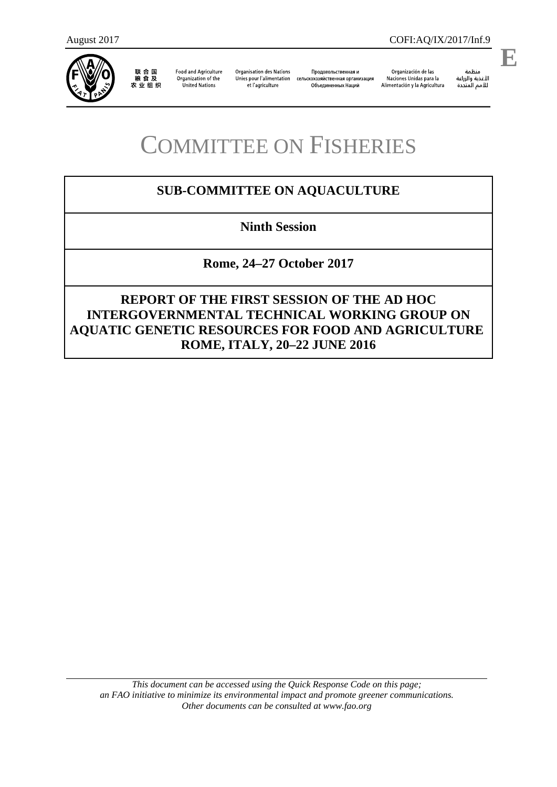

联合国<br>粮食及<br>农业组织

**Food and Agriculture** Organization of the **United Nations** 

**Organisation des Nations** Unies pour l'alimentation et l'agriculture

Продовольственная и сельскохозяйственная организация Объединенных Наций

Organización de las Naciones Unidas para la Alimentación y la Agricultura

منظمة ستنسه<br>الأغذية والزراعة<br>للأمم المتددة

l,

## COMMITTEE ON FISHERIES

## **SUB-COMMITTEE ON AQUACULTURE**

**Ninth Session**

**Rome, 24–27 October 2017**

**REPORT OF THE FIRST SESSION OF THE AD HOC INTERGOVERNMENTAL TECHNICAL WORKING GROUP ON AQUATIC GENETIC RESOURCES FOR FOOD AND AGRICULTURE ROME, ITALY, 20–22 JUNE 2016**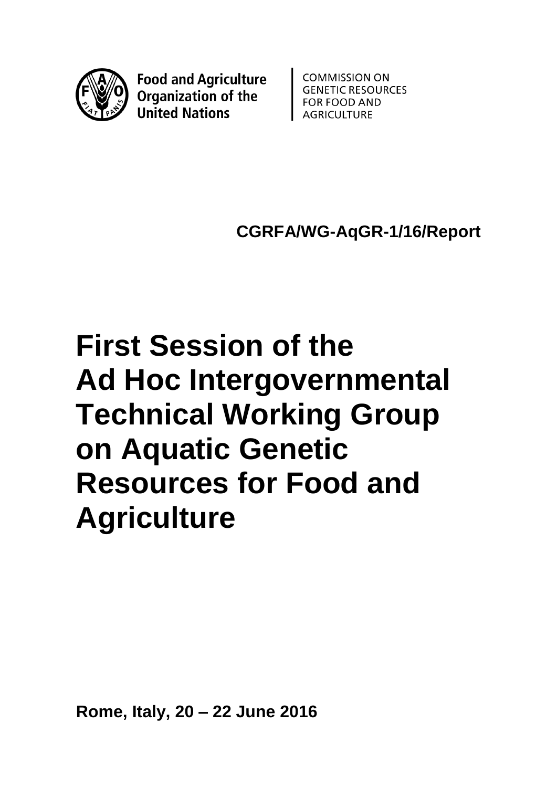

**Food and Agriculture Organization of the United Nations** 

**COMMISSION ON GENETIC RESOURCES FOR FOOD AND AGRICULTURE** 

**CGRFA/WG-AqGR-1/16/Report**

# **First Session of the Ad Hoc Intergovernmental Technical Working Group on Aquatic Genetic Resources for Food and Agriculture**

**Rome, Italy, 20 – 22 June 2016**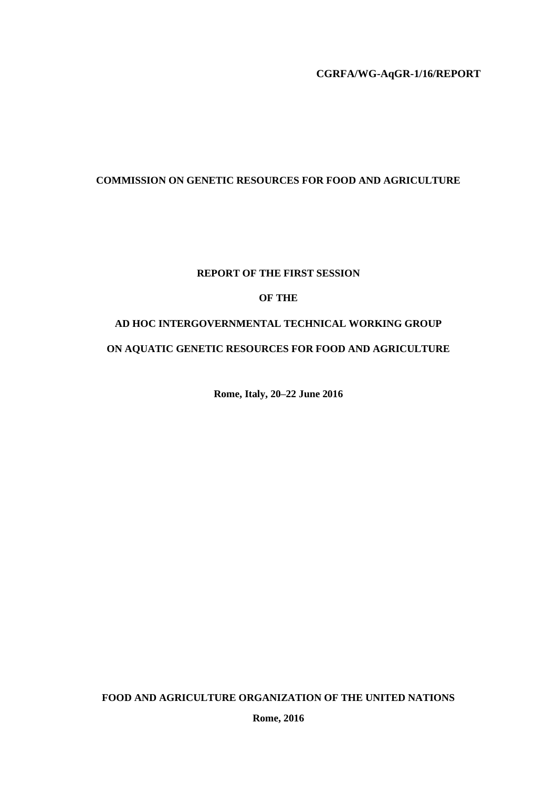**CGRFA/WG-AqGR-1/16/REPORT**

## **COMMISSION ON GENETIC RESOURCES FOR FOOD AND AGRICULTURE**

## **REPORT OF THE FIRST SESSION**

## **OF THE**

## **AD HOC INTERGOVERNMENTAL TECHNICAL WORKING GROUP**

## **ON AQUATIC GENETIC RESOURCES FOR FOOD AND AGRICULTURE**

**Rome, Italy, 20–22 June 2016**

**FOOD AND AGRICULTURE ORGANIZATION OF THE UNITED NATIONS**

**Rome, 2016**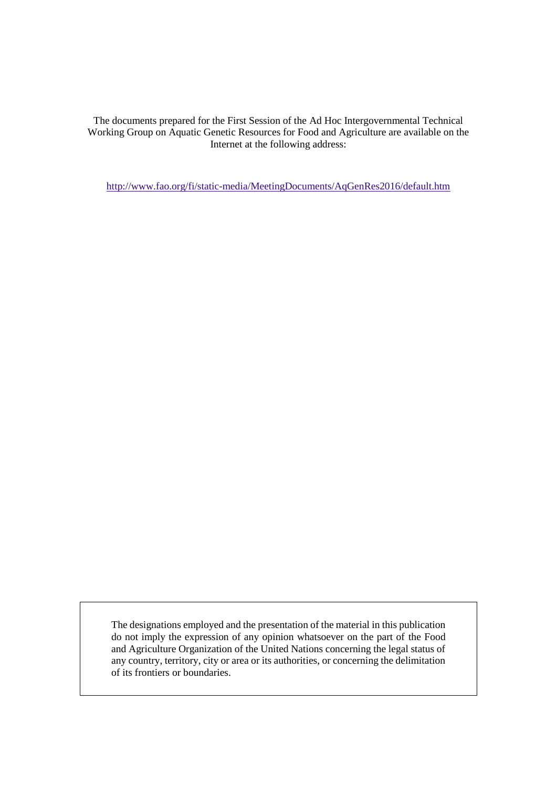The documents prepared for the First Session of the Ad Hoc Intergovernmental Technical Working Group on Aquatic Genetic Resources for Food and Agriculture are available on the Internet at the following address:

<http://www.fao.org/fi/static-media/MeetingDocuments/AqGenRes2016/default.htm>

The designations employed and the presentation of the material in this publication do not imply the expression of any opinion whatsoever on the part of the Food and Agriculture Organization of the United Nations concerning the legal status of any country, territory, city or area or its authorities, or concerning the delimitation of its frontiers or boundaries.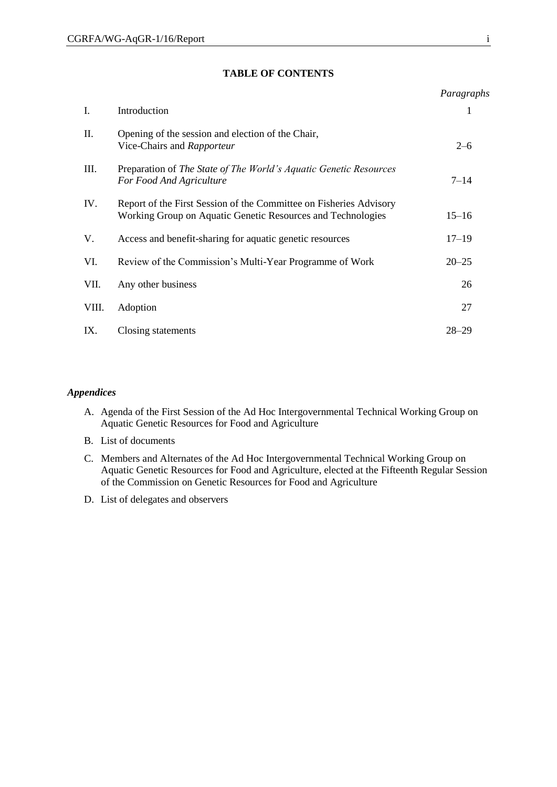#### **TABLE OF CONTENTS**

|                                                                                                                                   | Paragraphs |
|-----------------------------------------------------------------------------------------------------------------------------------|------------|
| Introduction                                                                                                                      | 1          |
| Opening of the session and election of the Chair,<br>Vice-Chairs and Rapporteur                                                   | $2 - 6$    |
| Preparation of The State of The World's Aquatic Genetic Resources<br>For Food And Agriculture                                     | $7 - 14$   |
| Report of the First Session of the Committee on Fisheries Advisory<br>Working Group on Aquatic Genetic Resources and Technologies | $15 - 16$  |
| Access and benefit-sharing for aquatic genetic resources                                                                          | $17 - 19$  |
| Review of the Commission's Multi-Year Programme of Work                                                                           | $20 - 25$  |
| Any other business                                                                                                                | 26         |
| Adoption                                                                                                                          | 27         |
| Closing statements                                                                                                                | $28 - 29$  |
|                                                                                                                                   |            |

## *Appendices*

- A. Agenda of the First Session of the Ad Hoc Intergovernmental Technical Working Group on Aquatic Genetic Resources for Food and Agriculture
- B. List of documents
- C. Members and Alternates of the Ad Hoc Intergovernmental Technical Working Group on Aquatic Genetic Resources for Food and Agriculture, elected at the Fifteenth Regular Session of the Commission on Genetic Resources for Food and Agriculture
- D. List of delegates and observers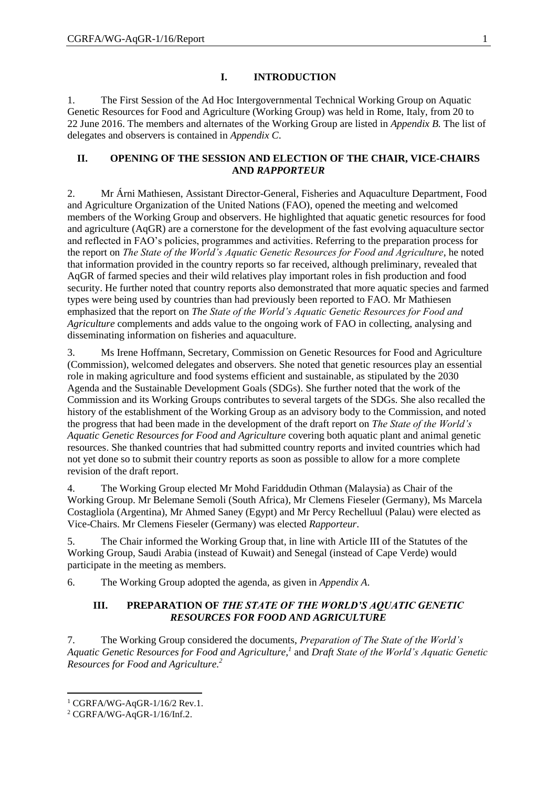## **I. INTRODUCTION**

1. The First Session of the Ad Hoc Intergovernmental Technical Working Group on Aquatic Genetic Resources for Food and Agriculture (Working Group) was held in Rome, Italy, from 20 to 22 June 2016. The members and alternates of the Working Group are listed in *Appendix B.* The list of delegates and observers is contained in *Appendix C*.

## **II. OPENING OF THE SESSION AND ELECTION OF THE CHAIR, VICE-CHAIRS AND** *RAPPORTEUR*

2. Mr Árni Mathiesen, Assistant Director-General, Fisheries and Aquaculture Department, Food and Agriculture Organization of the United Nations (FAO), opened the meeting and welcomed members of the Working Group and observers. He highlighted that aquatic genetic resources for food and agriculture (AqGR) are a cornerstone for the development of the fast evolving aquaculture sector and reflected in FAO's policies, programmes and activities. Referring to the preparation process for the report on *The State of the World's Aquatic Genetic Resources for Food and Agriculture*, he noted that information provided in the country reports so far received, although preliminary, revealed that AqGR of farmed species and their wild relatives play important roles in fish production and food security. He further noted that country reports also demonstrated that more aquatic species and farmed types were being used by countries than had previously been reported to FAO. Mr Mathiesen emphasized that the report on *The State of the World's Aquatic Genetic Resources for Food and Agriculture* complements and adds value to the ongoing work of FAO in collecting, analysing and disseminating information on fisheries and aquaculture.

3. Ms Irene Hoffmann, Secretary, Commission on Genetic Resources for Food and Agriculture (Commission), welcomed delegates and observers. She noted that genetic resources play an essential role in making agriculture and food systems efficient and sustainable, as stipulated by the 2030 Agenda and the Sustainable Development Goals (SDGs). She further noted that the work of the Commission and its Working Groups contributes to several targets of the SDGs. She also recalled the history of the establishment of the Working Group as an advisory body to the Commission, and noted the progress that had been made in the development of the draft report on *The State of the World's Aquatic Genetic Resources for Food and Agriculture* covering both aquatic plant and animal genetic resources. She thanked countries that had submitted country reports and invited countries which had not yet done so to submit their country reports as soon as possible to allow for a more complete revision of the draft report.

4. The Working Group elected Mr Mohd Fariddudin Othman (Malaysia) as Chair of the Working Group. Mr Belemane Semoli (South Africa), Mr Clemens Fieseler (Germany), Ms Marcela Costagliola (Argentina), Mr Ahmed Saney (Egypt) and Mr Percy Rechelluul (Palau) were elected as Vice-Chairs. Mr Clemens Fieseler (Germany) was elected *Rapporteur*.

5. The Chair informed the Working Group that, in line with Article III of the Statutes of the Working Group, Saudi Arabia (instead of Kuwait) and Senegal (instead of Cape Verde) would participate in the meeting as members.

6. The Working Group adopted the agenda, as given in *Appendix A*.

## **III. PREPARATION OF** *THE STATE OF THE WORLD'S AQUATIC GENETIC RESOURCES FOR FOOD AND AGRICULTURE*

7. The Working Group considered the documents, *Preparation of The State of the World's Aquatic Genetic Resources for Food and Agriculture,<sup>1</sup>* and *Draft State of the World's Aquatic Genetic Resources for Food and Agriculture.<sup>2</sup>*

**.** 

 $1 \text{ CGRFA/WG-AaGR-1/16/2}$  Rev.1.

 $2 \text{ CGRFA/WG-AqGR-1/16/Inf.2}.$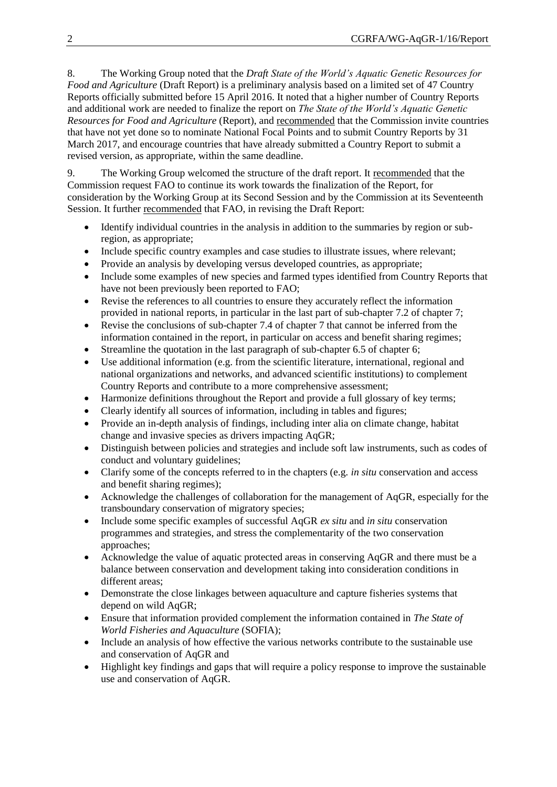8. The Working Group noted that the *Draft State of the World's Aquatic Genetic Resources for Food and Agriculture* (Draft Report) is a preliminary analysis based on a limited set of 47 Country Reports officially submitted before 15 April 2016. It noted that a higher number of Country Reports and additional work are needed to finalize the report on *The State of the World's Aquatic Genetic Resources for Food and Agriculture* (Report), and recommended that the Commission invite countries that have not yet done so to nominate National Focal Points and to submit Country Reports by 31 March 2017, and encourage countries that have already submitted a Country Report to submit a revised version, as appropriate, within the same deadline.

9. The Working Group welcomed the structure of the draft report. It recommended that the Commission request FAO to continue its work towards the finalization of the Report, for consideration by the Working Group at its Second Session and by the Commission at its Seventeenth Session. It further recommended that FAO, in revising the Draft Report:

- Identify individual countries in the analysis in addition to the summaries by region or subregion, as appropriate;
- Include specific country examples and case studies to illustrate issues, where relevant;
- Provide an analysis by developing versus developed countries, as appropriate;
- Include some examples of new species and farmed types identified from Country Reports that have not been previously been reported to FAO;
- Revise the references to all countries to ensure they accurately reflect the information provided in national reports, in particular in the last part of sub-chapter 7.2 of chapter 7;
- Revise the conclusions of sub-chapter 7.4 of chapter 7 that cannot be inferred from the information contained in the report, in particular on access and benefit sharing regimes;
- Streamline the quotation in the last paragraph of sub-chapter 6.5 of chapter 6;
- Use additional information (e.g. from the scientific literature, international, regional and national organizations and networks, and advanced scientific institutions) to complement Country Reports and contribute to a more comprehensive assessment;
- Harmonize definitions throughout the Report and provide a full glossary of key terms;
- Clearly identify all sources of information, including in tables and figures;
- Provide an in-depth analysis of findings, including inter alia on climate change, habitat change and invasive species as drivers impacting AqGR;
- Distinguish between policies and strategies and include soft law instruments, such as codes of conduct and voluntary guidelines;
- Clarify some of the concepts referred to in the chapters (e.g. *in situ* conservation and access and benefit sharing regimes);
- Acknowledge the challenges of collaboration for the management of AqGR, especially for the transboundary conservation of migratory species;
- Include some specific examples of successful AqGR *ex situ* and *in situ* conservation programmes and strategies, and stress the complementarity of the two conservation approaches;
- Acknowledge the value of aquatic protected areas in conserving AqGR and there must be a balance between conservation and development taking into consideration conditions in different areas;
- Demonstrate the close linkages between aquaculture and capture fisheries systems that depend on wild AqGR;
- Ensure that information provided complement the information contained in *The State of World Fisheries and Aquaculture* (SOFIA);
- Include an analysis of how effective the various networks contribute to the sustainable use and conservation of AqGR and
- Highlight key findings and gaps that will require a policy response to improve the sustainable use and conservation of AqGR.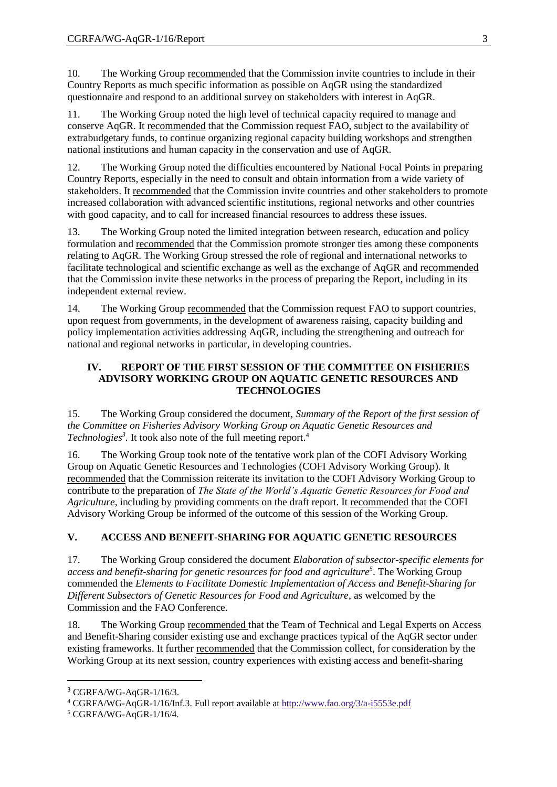10. The Working Group recommended that the Commission invite countries to include in their Country Reports as much specific information as possible on AqGR using the standardized questionnaire and respond to an additional survey on stakeholders with interest in AqGR.

11. The Working Group noted the high level of technical capacity required to manage and conserve AqGR. It recommended that the Commission request FAO, subject to the availability of extrabudgetary funds, to continue organizing regional capacity building workshops and strengthen national institutions and human capacity in the conservation and use of AqGR.

12. The Working Group noted the difficulties encountered by National Focal Points in preparing Country Reports, especially in the need to consult and obtain information from a wide variety of stakeholders. It recommended that the Commission invite countries and other stakeholders to promote increased collaboration with advanced scientific institutions, regional networks and other countries with good capacity, and to call for increased financial resources to address these issues.

13. The Working Group noted the limited integration between research, education and policy formulation and recommended that the Commission promote stronger ties among these components relating to AqGR. The Working Group stressed the role of regional and international networks to facilitate technological and scientific exchange as well as the exchange of AqGR and recommended that the Commission invite these networks in the process of preparing the Report, including in its independent external review.

14. The Working Group recommended that the Commission request FAO to support countries, upon request from governments, in the development of awareness raising, capacity building and policy implementation activities addressing AqGR, including the strengthening and outreach for national and regional networks in particular, in developing countries.

## **IV. REPORT OF THE FIRST SESSION OF THE COMMITTEE ON FISHERIES ADVISORY WORKING GROUP ON AQUATIC GENETIC RESOURCES AND TECHNOLOGIES**

15. The Working Group considered the document, *Summary of the Report of the first session of the Committee on Fisheries Advisory Working Group on Aquatic Genetic Resources and Technologies<sup>3</sup> .* It took also note of the full meeting report.<sup>4</sup>

16. The Working Group took note of the tentative work plan of the COFI Advisory Working Group on Aquatic Genetic Resources and Technologies (COFI Advisory Working Group). It recommended that the Commission reiterate its invitation to the COFI Advisory Working Group to contribute to the preparation of *The State of the World's Aquatic Genetic Resources for Food and Agriculture*, including by providing comments on the draft report. It recommended that the COFI Advisory Working Group be informed of the outcome of this session of the Working Group.

## **V. ACCESS AND BENEFIT-SHARING FOR AQUATIC GENETIC RESOURCES**

17. The Working Group considered the document *Elaboration of subsector-specific elements for access and benefit-sharing for genetic resources for food and agriculture<sup>5</sup>* . The Working Group commended the *Elements to Facilitate Domestic Implementation of Access and Benefit-Sharing for Different Subsectors of Genetic Resources for Food and Agriculture*, as welcomed by the Commission and the FAO Conference.

18. The Working Group recommended that the Team of Technical and Legal Experts on Access and Benefit-Sharing consider existing use and exchange practices typical of the AqGR sector under existing frameworks. It further recommended that the Commission collect, for consideration by the Working Group at its next session, country experiences with existing access and benefit-sharing

**.** 

<sup>3</sup> CGRFA/WG-AqGR-1/16/3.

<sup>4</sup> CGRFA/WG-AqGR-1/16/Inf.3. Full report available at<http://www.fao.org/3/a-i5553e.pdf>

 $5 \text{ CGRFA/WG-AqGR-1/16/4}.$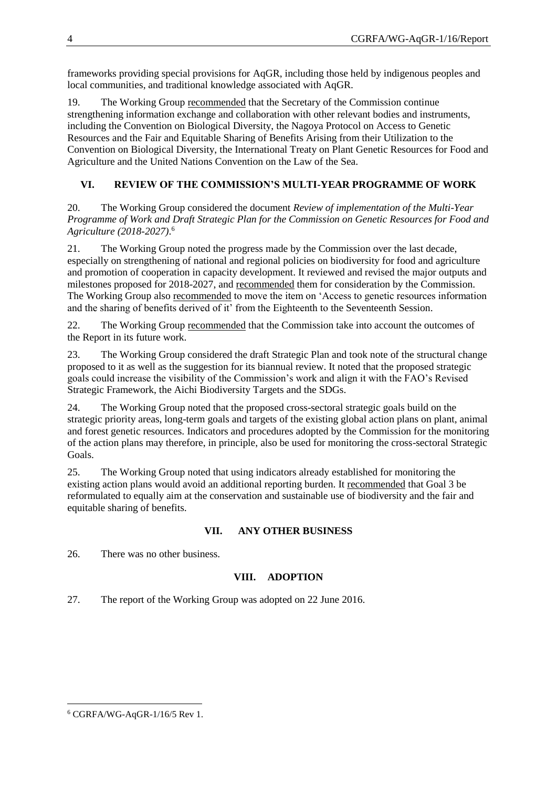frameworks providing special provisions for AqGR, including those held by indigenous peoples and local communities, and traditional knowledge associated with AqGR.

19. The Working Group recommended that the Secretary of the Commission continue strengthening information exchange and collaboration with other relevant bodies and instruments, including the Convention on Biological Diversity, the Nagoya Protocol on Access to Genetic Resources and the Fair and Equitable Sharing of Benefits Arising from their Utilization to the Convention on Biological Diversity, the International Treaty on Plant Genetic Resources for Food and Agriculture and the United Nations Convention on the Law of the Sea.

## **VI. REVIEW OF THE COMMISSION'S MULTI-YEAR PROGRAMME OF WORK**

20. The Working Group considered the document *Review of implementation of the Multi-Year Programme of Work and Draft Strategic Plan for the Commission on Genetic Resources for Food and Agriculture (2018-2027)*. 6

21. The Working Group noted the progress made by the Commission over the last decade, especially on strengthening of national and regional policies on biodiversity for food and agriculture and promotion of cooperation in capacity development. It reviewed and revised the major outputs and milestones proposed for 2018-2027, and recommended them for consideration by the Commission. The Working Group also recommended to move the item on 'Access to genetic resources information and the sharing of benefits derived of it' from the Eighteenth to the Seventeenth Session.

22. The Working Group recommended that the Commission take into account the outcomes of the Report in its future work.

23. The Working Group considered the draft Strategic Plan and took note of the structural change proposed to it as well as the suggestion for its biannual review. It noted that the proposed strategic goals could increase the visibility of the Commission's work and align it with the FAO's Revised Strategic Framework, the Aichi Biodiversity Targets and the SDGs.

24. The Working Group noted that the proposed cross-sectoral strategic goals build on the strategic priority areas, long-term goals and targets of the existing global action plans on plant, animal and forest genetic resources. Indicators and procedures adopted by the Commission for the monitoring of the action plans may therefore, in principle, also be used for monitoring the cross-sectoral Strategic Goals.

25. The Working Group noted that using indicators already established for monitoring the existing action plans would avoid an additional reporting burden. It recommended that Goal 3 be reformulated to equally aim at the conservation and sustainable use of biodiversity and the fair and equitable sharing of benefits.

## **VII. ANY OTHER BUSINESS**

26. There was no other business.

## **VIII. ADOPTION**

27. The report of the Working Group was adopted on 22 June 2016.

**<sup>.</sup>**  $6$  CGRFA/WG-AqGR-1/16/5 Rev 1.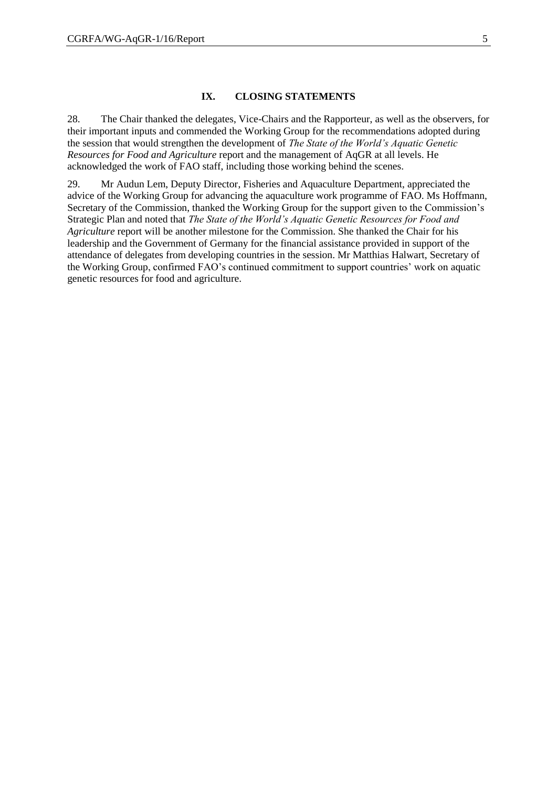#### **IX. CLOSING STATEMENTS**

28. The Chair thanked the delegates, Vice-Chairs and the Rapporteur, as well as the observers, for their important inputs and commended the Working Group for the recommendations adopted during the session that would strengthen the development of *The State of the World's Aquatic Genetic Resources for Food and Agriculture* report and the management of AqGR at all levels. He acknowledged the work of FAO staff, including those working behind the scenes.

29. Mr Audun Lem, Deputy Director, Fisheries and Aquaculture Department, appreciated the advice of the Working Group for advancing the aquaculture work programme of FAO. Ms Hoffmann, Secretary of the Commission, thanked the Working Group for the support given to the Commission's Strategic Plan and noted that *The State of the World's Aquatic Genetic Resources for Food and Agriculture* report will be another milestone for the Commission. She thanked the Chair for his leadership and the Government of Germany for the financial assistance provided in support of the attendance of delegates from developing countries in the session. Mr Matthias Halwart, Secretary of the Working Group, confirmed FAO's continued commitment to support countries' work on aquatic genetic resources for food and agriculture.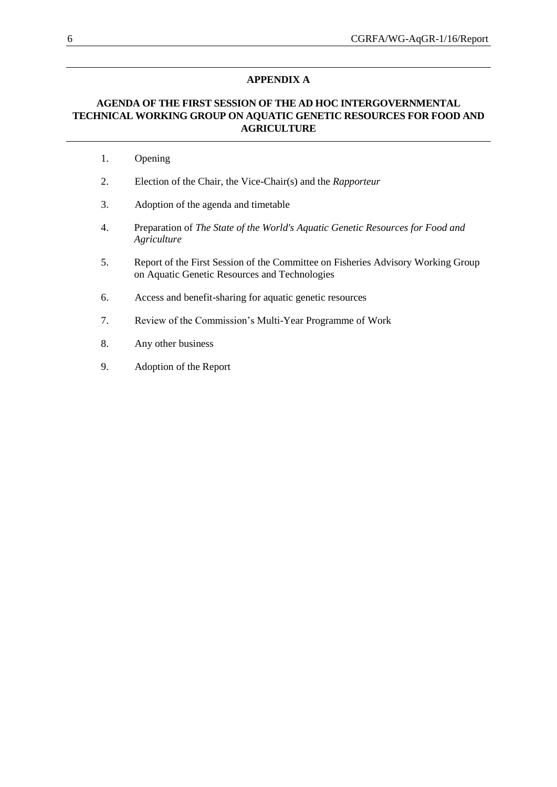## **APPENDIX A**

## **AGENDA OF THE FIRST SESSION OF THE AD HOC INTERGOVERNMENTAL TECHNICAL WORKING GROUP ON AQUATIC GENETIC RESOURCES FOR FOOD AND AGRICULTURE**

- 1. Opening
- 2. Election of the Chair, the Vice-Chair(s) and the *Rapporteur*
- 3. Adoption of the agenda and timetable
- 4. Preparation of *The State of the World's Aquatic Genetic Resources for Food and Agriculture*
- 5. Report of the First Session of the Committee on Fisheries Advisory Working Group on Aquatic Genetic Resources and Technologies
- 6. Access and benefit-sharing for aquatic genetic resources
- 7. Review of the Commission's Multi-Year Programme of Work
- 8. Any other business
- 9. Adoption of the Report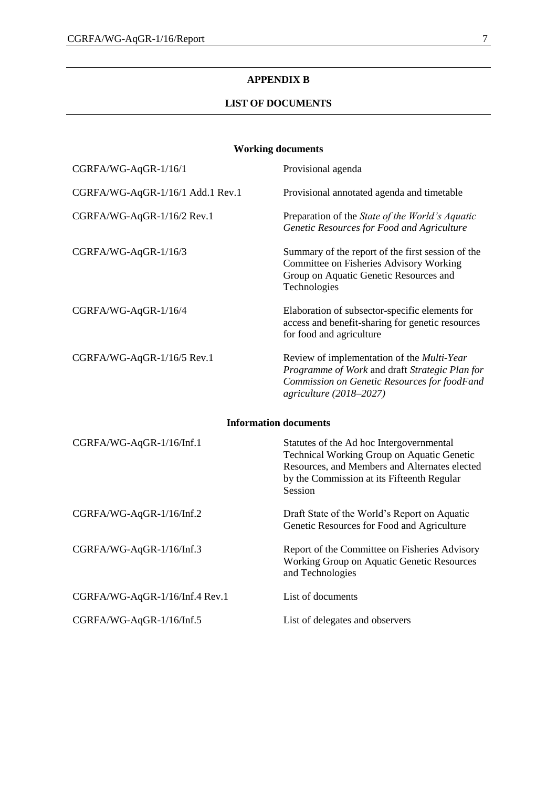## **APPENDIX B**

## **LIST OF DOCUMENTS**

## **Working documents**

| CGRFA/WG-AqGR-1/16/1             | Provisional agenda                                                                                                                                                                               |
|----------------------------------|--------------------------------------------------------------------------------------------------------------------------------------------------------------------------------------------------|
| CGRFA/WG-AqGR-1/16/1 Add.1 Rev.1 | Provisional annotated agenda and timetable                                                                                                                                                       |
| CGRFA/WG-AqGR-1/16/2 Rev.1       | Preparation of the State of the World's Aquatic<br>Genetic Resources for Food and Agriculture                                                                                                    |
| CGRFA/WG-AqGR-1/16/3             | Summary of the report of the first session of the<br>Committee on Fisheries Advisory Working<br>Group on Aquatic Genetic Resources and<br>Technologies                                           |
| CGRFA/WG-AqGR-1/16/4             | Elaboration of subsector-specific elements for<br>access and benefit-sharing for genetic resources<br>for food and agriculture                                                                   |
| CGRFA/WG-AqGR-1/16/5 Rev.1       | Review of implementation of the Multi-Year<br>Programme of Work and draft Strategic Plan for<br>Commission on Genetic Resources for foodFand<br>agriculture (2018-2027)                          |
|                                  | <b>Information documents</b>                                                                                                                                                                     |
| CGRFA/WG-AqGR-1/16/Inf.1         | Statutes of the Ad hoc Intergovernmental<br>Technical Working Group on Aquatic Genetic<br>Resources, and Members and Alternates elected<br>by the Commission at its Fifteenth Regular<br>Session |
| CGRFA/WG-AqGR-1/16/Inf.2         | Draft State of the World's Report on Aquatic<br>Genetic Resources for Food and Agriculture                                                                                                       |
| CGRFA/WG-AqGR-1/16/Inf.3         | Report of the Committee on Fisheries Advisory<br>Working Group on Aquatic Genetic Resources<br>and Technologies                                                                                  |
| CGRFA/WG-AqGR-1/16/Inf.4 Rev.1   | List of documents                                                                                                                                                                                |
| CGRFA/WG-AqGR-1/16/Inf.5         | List of delegates and observers                                                                                                                                                                  |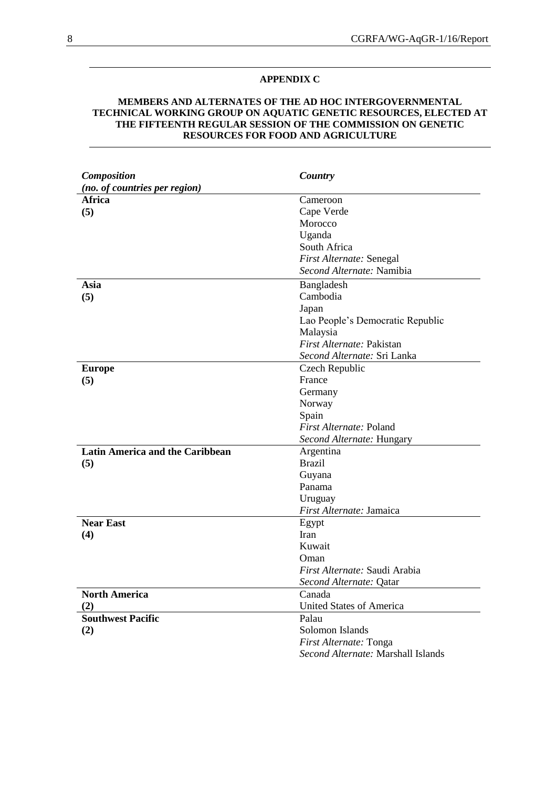### **APPENDIX C**

## **MEMBERS AND ALTERNATES OF THE AD HOC INTERGOVERNMENTAL TECHNICAL WORKING GROUP ON AQUATIC GENETIC RESOURCES, ELECTED AT THE FIFTEENTH REGULAR SESSION OF THE COMMISSION ON GENETIC RESOURCES FOR FOOD AND AGRICULTURE**

| Composition                            | Country                            |
|----------------------------------------|------------------------------------|
| (no. of countries per region)          |                                    |
| <b>Africa</b>                          | Cameroon                           |
| (5)                                    | Cape Verde                         |
|                                        | Morocco                            |
|                                        | Uganda                             |
|                                        | South Africa                       |
|                                        | First Alternate: Senegal           |
|                                        | Second Alternate: Namibia          |
| Asia                                   | Bangladesh                         |
| (5)                                    | Cambodia                           |
|                                        | Japan                              |
|                                        | Lao People's Democratic Republic   |
|                                        | Malaysia                           |
|                                        | First Alternate: Pakistan          |
|                                        | Second Alternate: Sri Lanka        |
| <b>Europe</b>                          | Czech Republic                     |
| (5)                                    | France                             |
|                                        | Germany                            |
|                                        | Norway                             |
|                                        | Spain                              |
|                                        | First Alternate: Poland            |
|                                        | Second Alternate: Hungary          |
| <b>Latin America and the Caribbean</b> | Argentina                          |
| (5)                                    | <b>Brazil</b>                      |
|                                        | Guyana                             |
|                                        | Panama                             |
|                                        | Uruguay                            |
|                                        | First Alternate: Jamaica           |
| <b>Near East</b>                       | Egypt                              |
| (4)                                    | Iran                               |
|                                        | Kuwait                             |
|                                        | Oman                               |
|                                        | First Alternate: Saudi Arabia      |
|                                        | Second Alternate: Qatar            |
| <b>North America</b>                   | Canada                             |
| (2)                                    | <b>United States of America</b>    |
| <b>Southwest Pacific</b>               | Palau                              |
| (2)                                    | Solomon Islands                    |
|                                        | First Alternate: Tonga             |
|                                        | Second Alternate: Marshall Islands |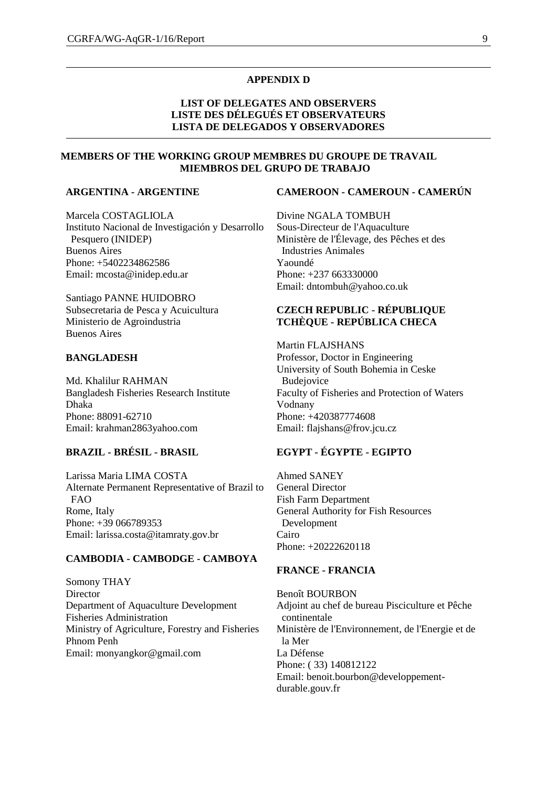#### **APPENDIX D**

## **LIST OF DELEGATES AND OBSERVERS LISTE DES DÉLEGUÉS ET OBSERVATEURS LISTA DE DELEGADOS Y OBSERVADORES**

## **MEMBERS OF THE WORKING GROUP MEMBRES DU GROUPE DE TRAVAIL MIEMBROS DEL GRUPO DE TRABAJO**

## **ARGENTINA - ARGENTINE**

Marcela COSTAGLIOLA Instituto Nacional de Investigación y Desarrollo Pesquero (INIDEP) Buenos Aires Phone: +5402234862586 Email: mcosta@inidep.edu.ar

Santiago PANNE HUIDOBRO Subsecretaria de Pesca y Acuicultura Ministerio de Agroindustria Buenos Aires

#### **BANGLADESH**

Md. Khalilur RAHMAN Bangladesh Fisheries Research Institute Dhaka Phone: 88091-62710 Email: krahman2863yahoo.com

## **BRAZIL - BRÉSIL - BRASIL**

Larissa Maria LIMA COSTA Alternate Permanent Representative of Brazil to FAO Rome, Italy Phone: +39 066789353 Email: larissa.costa@itamraty.gov.br

## **CAMBODIA - CAMBODGE - CAMBOYA**

Somony THAY **Director** Department of Aquaculture Development Fisheries Administration Ministry of Agriculture, Forestry and Fisheries Phnom Penh Email: monyangkor@gmail.com

#### **CAMEROON - CAMEROUN - CAMERÚN**

Divine NGALA TOMBUH Sous-Directeur de l'Aquaculture Ministère de l'Élevage, des Pêches et des Industries Animales Yaoundé Phone: +237 663330000 Email: dntombuh@yahoo.co.uk

## **CZECH REPUBLIC - RÉPUBLIQUE TCHÈQUE - REPÚBLICA CHECA**

Martin FLAJSHANS Professor, Doctor in Engineering University of South Bohemia in Ceske Budejovice Faculty of Fisheries and Protection of Waters Vodnany Phone: +420387774608 Email: flajshans@frov.jcu.cz

## **EGYPT - ÉGYPTE - EGIPTO**

Ahmed SANEY General Director Fish Farm Department General Authority for Fish Resources Development Cairo Phone: +20222620118

## **FRANCE - FRANCIA**

Benoît BOURBON Adjoint au chef de bureau Pisciculture et Pêche continentale Ministère de l'Environnement, de l'Energie et de la Mer La Défense Phone: ( 33) 140812122 Email: benoit.bourbon@developpementdurable.gouv.fr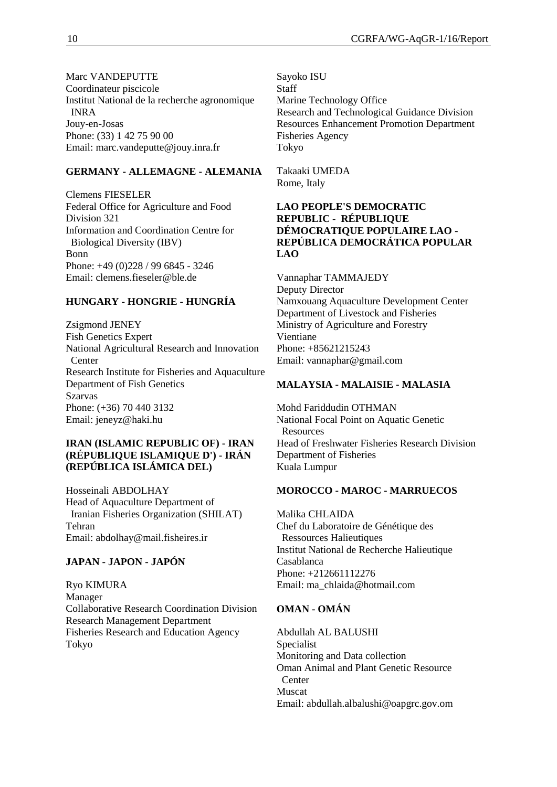Marc VANDEPUTTE Coordinateur piscicole Institut National de la recherche agronomique INRA Jouy-en-Josas Phone: (33) 1 42 75 90 00 Email: marc.vandeputte@jouy.inra.fr

## **GERMANY - ALLEMAGNE - ALEMANIA**

Clemens FIESELER Federal Office for Agriculture and Food Division 321 Information and Coordination Centre for Biological Diversity (IBV) Bonn Phone: +49 (0)228 / 99 6845 - 3246 Email: clemens.fieseler@ble.de

## **HUNGARY - HONGRIE - HUNGRÍA**

Zsigmond JENEY Fish Genetics Expert National Agricultural Research and Innovation **Center** Research Institute for Fisheries and Aquaculture Department of Fish Genetics Szarvas Phone: (+36) 70 440 3132 Email: jeneyz@haki.hu

## **IRAN (ISLAMIC REPUBLIC OF) - IRAN (RÉPUBLIQUE ISLAMIQUE D') - IRÁN (REPÚBLICA ISLÁMICA DEL)**

Hosseinali ABDOLHAY Head of Aquaculture Department of Iranian Fisheries Organization (SHILAT) Tehran Email: abdolhay@mail.fisheires.ir

## **JAPAN - JAPON - JAPÓN**

Ryo KIMURA Manager Collaborative Research Coordination Division Research Management Department Fisheries Research and Education Agency Tokyo

Sayoko ISU **Staff** Marine Technology Office Research and Technological Guidance Division Resources Enhancement Promotion Department Fisheries Agency Tokyo

Takaaki UMEDA Rome, Italy

## **LAO PEOPLE'S DEMOCRATIC REPUBLIC - RÉPUBLIQUE DÉMOCRATIQUE POPULAIRE LAO - REPÚBLICA DEMOCRÁTICA POPULAR LAO**

Vannaphar TAMMAJEDY Deputy Director Namxouang Aquaculture Development Center Department of Livestock and Fisheries Ministry of Agriculture and Forestry Vientiane Phone: +85621215243 Email: vannaphar@gmail.com

## **MALAYSIA - MALAISIE - MALASIA**

Mohd Fariddudin OTHMAN National Focal Point on Aquatic Genetic **Resources** Head of Freshwater Fisheries Research Division Department of Fisheries Kuala Lumpur

## **MOROCCO - MAROC - MARRUECOS**

Malika CHLAIDA Chef du Laboratoire de Génétique des Ressources Halieutiques Institut National de Recherche Halieutique Casablanca Phone: +212661112276 Email: ma\_chlaida@hotmail.com

## **OMAN - OMÁN**

Abdullah AL BALUSHI Specialist Monitoring and Data collection Oman Animal and Plant Genetic Resource **Center** Muscat Email: abdullah.albalushi@oapgrc.gov.om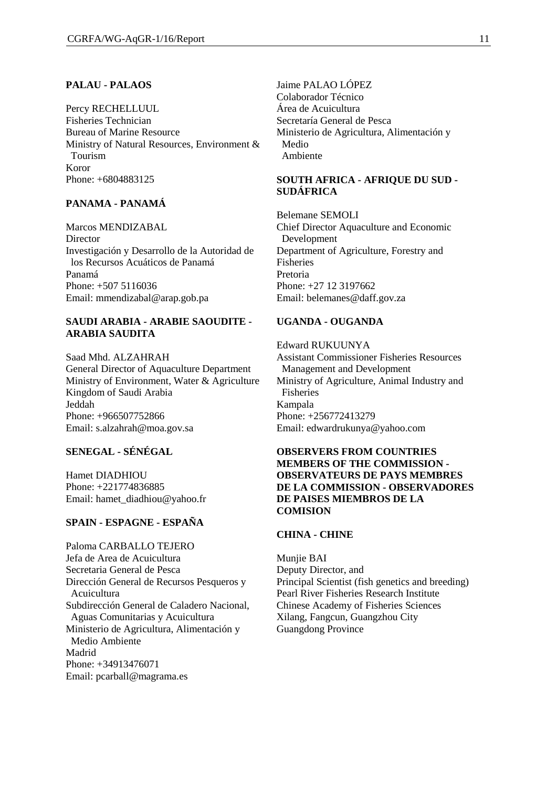## **PALAU - PALAOS**

Percy RECHELLUUL Fisheries Technician Bureau of Marine Resource Ministry of Natural Resources, Environment & Tourism Koror Phone: +6804883125

## **PANAMA - PANAMÁ**

Marcos MENDIZABAL Director Investigación y Desarrollo de la Autoridad de los Recursos Acuáticos de Panamá Panamá Phone: +507 5116036 Email: mmendizabal@arap.gob.pa

## **SAUDI ARABIA - ARABIE SAOUDITE - ARABIA SAUDITA**

Saad Mhd. ALZAHRAH General Director of Aquaculture Department Ministry of Environment, Water & Agriculture Kingdom of Saudi Arabia Jeddah Phone: +966507752866 Email: [s.alzahrah@moa.gov.sa](mailto:s.alzahrah@moa.gov.sa)

## **SENEGAL - SÉNÉGAL**

Hamet DIADHIOU Phone: +221774836885 Email: [hamet\\_diadhiou@yahoo.fr](mailto:hamet_diadhiou@yahoo.fr)

## **SPAIN - ESPAGNE - ESPAÑA**

Paloma CARBALLO TEJERO Jefa de Area de Acuicultura Secretaria General de Pesca Dirección General de Recursos Pesqueros y Acuicultura Subdirección General de Caladero Nacional, Aguas Comunitarias y Acuicultura Ministerio de Agricultura, Alimentación y Medio Ambiente Madrid Phone: +34913476071 Email: pcarball@magrama.es

Jaime PALAO LÓPEZ Colaborador Técnico Área de Acuicultura Secretaría General de Pesca Ministerio de Agricultura, Alimentación y Medio Ambiente

## **SOUTH AFRICA - AFRIQUE DU SUD - SUDÁFRICA**

Belemane SEMOLI Chief Director Aquaculture and Economic Development Department of Agriculture, Forestry and Fisheries Pretoria Phone: +27 12 3197662 Email: belemanes@daff.gov.za

## **UGANDA - OUGANDA**

## Edward RUKUUNYA Assistant Commissioner Fisheries Resources

Management and Development Ministry of Agriculture, Animal Industry and Fisheries Kampala Phone: +256772413279 Email: edwardrukunya@yahoo.com

## **OBSERVERS FROM COUNTRIES MEMBERS OF THE COMMISSION - OBSERVATEURS DE PAYS MEMBRES DE LA COMMISSION - OBSERVADORES DE PAISES MIEMBROS DE LA COMISION**

#### **CHINA - CHINE**

Munjie BAI Deputy Director, and Principal Scientist (fish genetics and breeding) Pearl River Fisheries Research Institute Chinese Academy of Fisheries Sciences Xilang, Fangcun, Guangzhou City Guangdong Province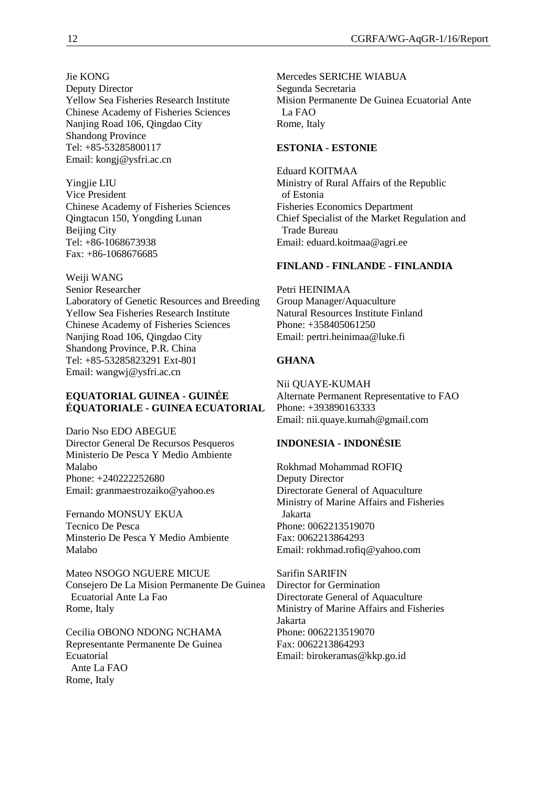Jie KONG Deputy Director Yellow Sea Fisheries Research Institute Chinese Academy of Fisheries Sciences Nanjing Road 106, Qingdao City Shandong Province Tel: +85-53285800117 Email: [kongj@ysfri.ac.cn](mailto:kongj@ysfri.ac.cn)

Yingjie LIU Vice President Chinese Academy of Fisheries Sciences Qingtacun 150, Yongding Lunan Beijing City Tel: +86-1068673938 Fax: +86-1068676685

Weiji WANG Senior Researcher Laboratory of Genetic Resources and Breeding Yellow Sea Fisheries Research Institute Chinese Academy of Fisheries Sciences Nanjing Road 106, Qingdao City Shandong Province, P.R. China Tel: +85-53285823291 Ext-801 Email: [wangwj@ysfri.ac.cn](mailto:wangwj@ysfri.ac.cn)

## **EQUATORIAL GUINEA - GUINÉE ÉQUATORIALE - GUINEA ECUATORIAL**

Dario Nso EDO ABEGUE Director General De Recursos Pesqueros Ministerio De Pesca Y Medio Ambiente Malabo Phone: +240222252680 Email: granmaestrozaiko@yahoo.es

Fernando MONSUY EKUA Tecnico De Pesca Minsterio De Pesca Y Medio Ambiente Malabo

Mateo NSOGO NGUERE MICUE Consejero De La Mision Permanente De Guinea Ecuatorial Ante La Fao Rome, Italy

Cecilia OBONO NDONG NCHAMA Representante Permanente De Guinea Ecuatorial Ante La FAO Rome, Italy

Mercedes SERICHE WIABUA Segunda Secretaria Mision Permanente De Guinea Ecuatorial Ante La FAO Rome, Italy

## **ESTONIA - ESTONIE**

Eduard KOITMAA Ministry of Rural Affairs of the Republic of Estonia Fisheries Economics Department Chief Specialist of the Market Regulation and Trade Bureau Email: eduard.koitmaa@agri.ee

## **FINLAND - FINLANDE - FINLANDIA**

Petri HEINIMAA Group Manager/Aquaculture Natural Resources Institute Finland Phone: +358405061250 Email: pertri.heinimaa@luke.fi

## **GHANA**

Nii QUAYE-KUMAH Alternate Permanent Representative to FAO Phone: +393890163333 Email: nii.quaye.kumah@gmail.com

## **INDONESIA - INDONÉSIE**

Rokhmad Mohammad ROFIQ Deputy Director Directorate General of Aquaculture Ministry of Marine Affairs and Fisheries Jakarta Phone: 0062213519070 Fax: 0062213864293 Email: rokhmad.rofiq@yahoo.com

Sarifin SARIFIN Director for Germination Directorate General of Aquaculture Ministry of Marine Affairs and Fisheries Jakarta Phone: 0062213519070 Fax: 0062213864293 Email: [birokeramas@kkp.go.id](mailto:birokeramas@kkp.go.id)